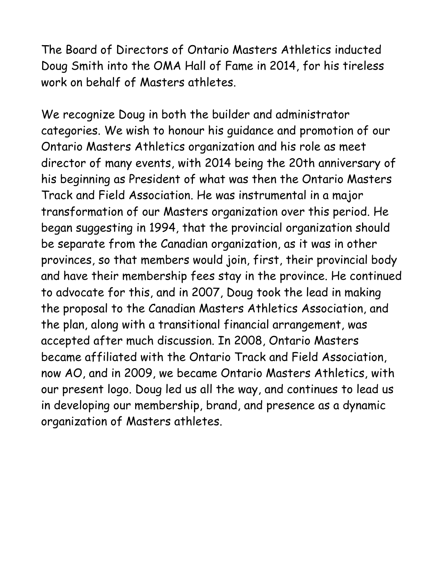The Board of Directors of Ontario Masters Athletics inducted Doug Smith into the OMA Hall of Fame in 2014, for his tireless work on behalf of Masters athletes.

We recognize Doug in both the builder and administrator categories. We wish to honour his guidance and promotion of our Ontario Masters Athletics organization and his role as meet director of many events, with 2014 being the 20th anniversary of his beginning as President of what was then the Ontario Masters Track and Field Association. He was instrumental in a major transformation of our Masters organization over this period. He began suggesting in 1994, that the provincial organization should be separate from the Canadian organization, as it was in other provinces, so that members would join, first, their provincial body and have their membership fees stay in the province. He continued to advocate for this, and in 2007, Doug took the lead in making the proposal to the Canadian Masters Athletics Association, and the plan, along with a transitional financial arrangement, was accepted after much discussion. In 2008, Ontario Masters became affiliated with the Ontario Track and Field Association, now AO, and in 2009, we became Ontario Masters Athletics, with our present logo. Doug led us all the way, and continues to lead us in developing our membership, brand, and presence as a dynamic organization of Masters athletes.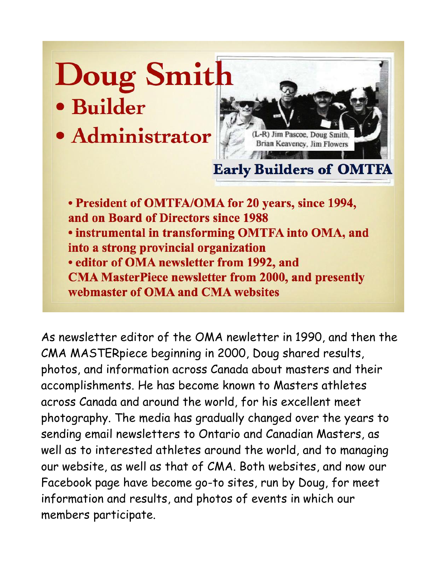## **Doug Smith** · Builder

· Administrator



• President of OMTFA/OMA for 20 years, since 1994, and on Board of Directors since 1988 . instrumental in transforming OMTFA into OMA, and into a strong provincial organization • editor of OMA newsletter from 1992, and **CMA MasterPiece newsletter from 2000, and presently** webmaster of OMA and CMA websites

As newsletter editor of the OMA newletter in 1990, and then the CMA MASTERpiece beginning in 2000, Doug shared results, photos, and information across Canada about masters and their accomplishments. He has become known to Masters athletes across Canada and around the world, for his excellent meet photography. The media has gradually changed over the years to sending email newsletters to Ontario and Canadian Masters, as well as to interested athletes around the world, and to managing our website, as well as that of CMA. Both websites, and now our Facebook page have become go-to sites, run by Doug, for meet information and results, and photos of events in which our members participate.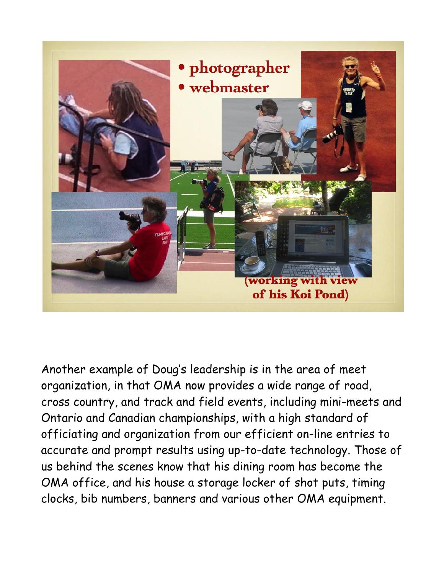

Another example of Doug's leadership is in the area of meet organization, in that OMA now provides a wide range of road, cross country, and track and field events, including mini-meets and Ontario and Canadian championships, with a high standard of officiating and organization from our efficient on-line entries to accurate and prompt results using up-to-date technology. Those of us behind the scenes know that his dining room has become the OMA office, and his house a storage locker of shot puts, timing clocks, bib numbers, banners and various other OMA equipment.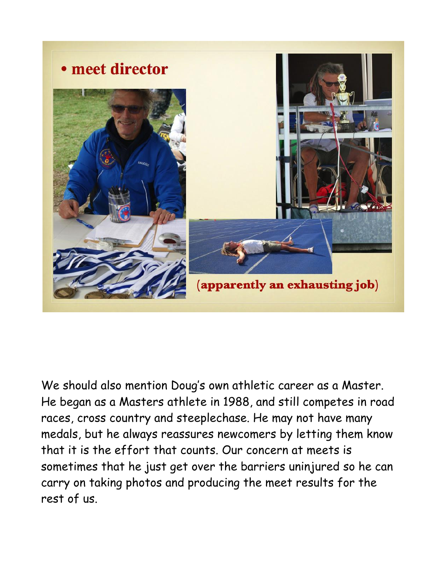

We should also mention Doug's own athletic career as a Master. He began as a Masters athlete in 1988, and still competes in road races, cross country and steeplechase. He may not have many medals, but he always reassures newcomers by letting them know that it is the effort that counts. Our concern at meets is sometimes that he just get over the barriers uninjured so he can carry on taking photos and producing the meet results for the rest of us.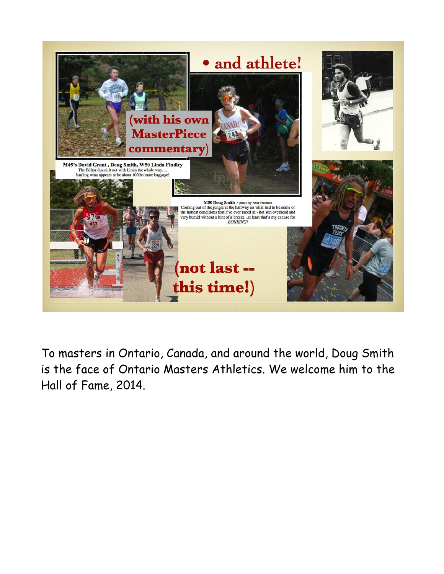

To masters in Ontario, Canada, and around the world, Doug Smith is the face of Ontario Masters Athletics. We welcome him to the Hall of Fame, 2014.